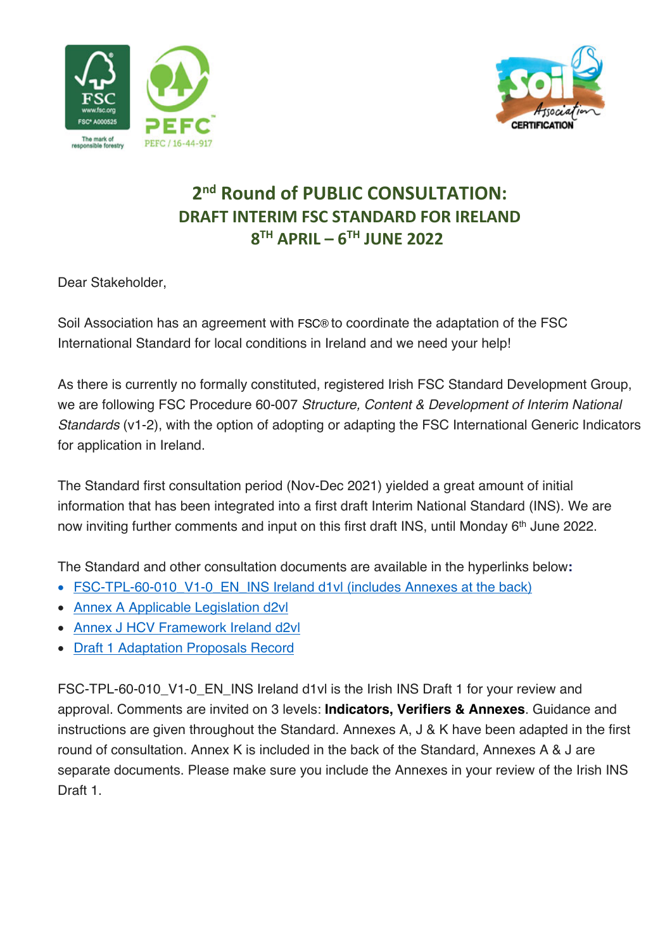



## **2nd Round of PUBLIC CONSULTATION: DRAFT INTERIM FSC STANDARD FOR IRELAND 8TH APRIL – 6TH JUNE 2022**

Dear Stakeholder,

Soil Association has an agreement with FSC® to coordinate the adaptation of the FSC International Standard for local conditions in Ireland and we need your help!

As there is currently no formally constituted, registered Irish FSC Standard Development Group, we are following FSC Procedure 60-007 *Structure, Content & Development of Interim National Standards* (v1-2), with the option of adopting or adapting the FSC International Generic Indicators for application in Ireland.

The Standard first consultation period (Nov-Dec 2021) yielded a great amount of initial information that has been integrated into a first draft Interim National Standard (INS). We are now inviting further comments and input on this first draft INS, until Monday 6<sup>th</sup> June 2022.

The Standard and other consultation documents are available in the hyperlinks below**:** 

- FSC-TPL-60-010 V1-0 EN INS Ireland d1vl (includes Annexes at the back)
- Annex A Applicable Legislation d2vl
- Annex J HCV Framework Ireland d2vl
- Draft 1 Adaptation Proposals Record

FSC-TPL-60-010\_V1-0\_EN\_INS Ireland d1vl is the Irish INS Draft 1 for your review and approval. Comments are invited on 3 levels: **Indicators, Verifiers & Annexes**. Guidance and instructions are given throughout the Standard. Annexes A, J & K have been adapted in the first round of consultation. Annex K is included in the back of the Standard, Annexes A & J are separate documents. Please make sure you include the Annexes in your review of the Irish INS Draft 1.